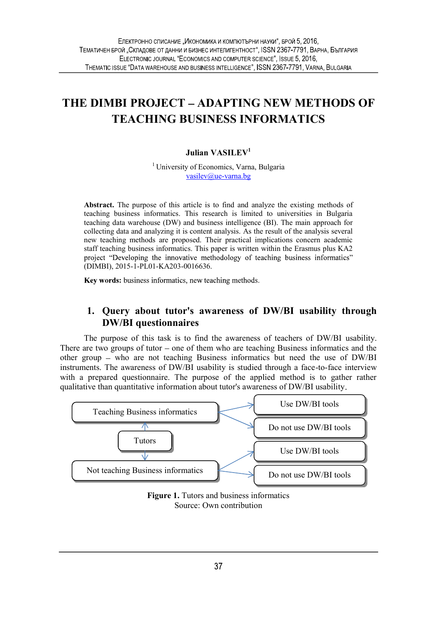# THE DIMBI PROJECT ADAPTING NEW METHODS OF TEACHING BUSINESS INFORMATICS

### Julian VASILEV<sup>1</sup>

<sup>1</sup> University of Economics, Varna, Bulgaria vasilev@ue-varna.bg

Abstract. The purpose of this article is to find and analyze the existing methods of teaching business informatics. This research is limited to universities in Bulgaria teaching data warehouse (DW) and business intelligence (BI). The main approach for collecting data and analyzing it is content analysis. As the result of the analysis several new teaching methods are proposed. Their practical implications concern academic staff teaching business informatics. This paper is written within the Erasmus plus KA2 project "Developing the innovative methodology of teaching business informatics" (DIMBI), 2015-1-PL01-KA203-0016636.

Key words: business informatics, new teaching methods.

### 1. Query about tutor's awareness of DW/BI usability through DW/BI questionnaires

The purpose of this task is to find the awareness of teachers of DW/BI usability. There are two groups of tutor  $-\text{one of them who are teaching Business informatics and the}$ other group – who are not teaching Business informatics but need the use of DW/BI instruments. The awareness of DW/BI usability is studied through a face-to-face interview with a prepared questionnaire. The purpose of the applied method is to gather rather qualitative than quantitative information about tutor's awareness of DW/BI usability



Figure 1. Tutors and business informatics Source: Own contribution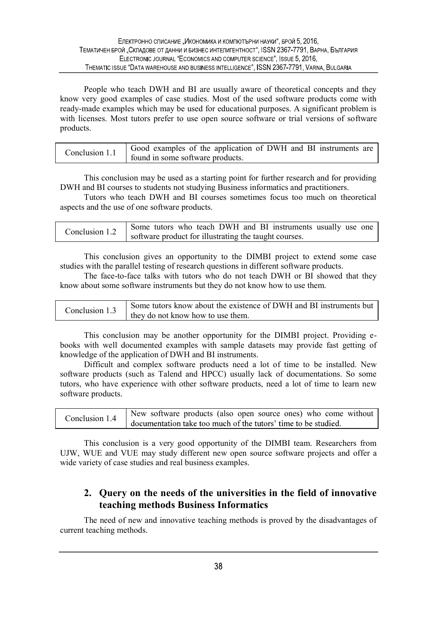People who teach DWH and BI are usually aware of theoretical concepts and they know very good examples of case studies. Most of the used software products come with ready-made examples which may be used for educational purposes. A significant problem is with licenses. Most tutors prefer to use open source software or trial versions of software products.

This conclusion may be used as a starting point for further research and for providing DWH and BI courses to students not studying Business informatics and practitioners.

Tutors who teach DWH and BI courses sometimes focus too much on theoretical aspects and the use of one software products.

This conclusion gives an opportunity to the DIMBI project to extend some case studies with the parallel testing of research questions in different software products.

The face-to-face talks with tutors who do not teach DWH or BI showed that they know about some software instruments but they do not know how to use them.

| onclusion 1.3 | Some tutors know about the existence of DWH and BI instruments but |  |
|---------------|--------------------------------------------------------------------|--|
|               | they do not know how to use them.                                  |  |

This conclusion may be another opportunity for the DIMBI project. Providing ebooks with well documented examples with sample datasets may provide fast getting of knowledge of the application of DWH and BI instruments.

Difficult and complex software products need a lot of time to be installed. New software products (such as Talend and HPCC) usually lack of documentations. So some tutors, who have experience with other software products, need a lot of time to learn new software products.

| Conclusion 1.4 | New software products (also open source ones) who come without |
|----------------|----------------------------------------------------------------|
|                | documentation take too much of the tutors' time to be studied. |

This conclusion is a very good opportunity of the DIMBI team. Researchers from UJW, WUE and VUE may study different new open source software projects and offer a wide variety of case studies and real business examples.

## 2. Query on the needs of the universities in the field of innovative teaching methods Business Informatics

The need of new and innovative teaching methods is proved by the disadvantages of current teaching methods.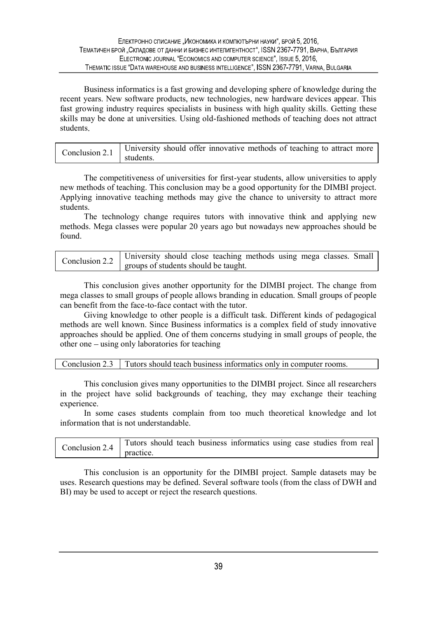Business informatics is a fast growing and developing sphere of knowledge during the recent years. New software products, new technologies, new hardware devices appear. This fast growing industry requires specialists in business with high quality skills. Getting these skills may be done at universities. Using old-fashioned methods of teaching does not attract students

| Conclusion 2.1 | University should offer innovative methods of teaching to attract more |
|----------------|------------------------------------------------------------------------|
|                | students.                                                              |

The competitiveness of universities for first-year students, allow universities to apply new methods of teaching. This conclusion may be a good opportunity for the DIMBI project. Applying innovative teaching methods may give the chance to university to attract more students.

The technology change requires tutors with innovative think and applying new methods. Mega classes were popular 20 years ago but nowadays new approaches should be found.

This conclusion gives another opportunity for the DIMBI project. The change from mega classes to small groups of people allows branding in education. Small groups of people can benefit from the face-to-face contact with the tutor.

Giving knowledge to other people is a difficult task. Different kinds of pedagogical methods are well known. Since Business informatics is a complex field of study innovative approaches should be applied. One of them concerns studying in small groups of people, the other one  $-$  using only laboratories for teaching

Conclusion 2.3 Tutors should teach business informatics only in computer rooms.

This conclusion gives many opportunities to the DIMBI project. Since all researchers in the project have solid backgrounds of teaching, they may exchange their teaching experience.

In some cases students complain from too much theoretical knowledge and lot information that is not understandable.

| Conclusion 2.4 | Tutors should teach business informatics using case studies from real |
|----------------|-----------------------------------------------------------------------|
|                | practice.                                                             |

This conclusion is an opportunity for the DIMBI project. Sample datasets may be uses. Research questions may be defined. Several software tools (from the class of DWH and BI) may be used to accept or reject the research questions.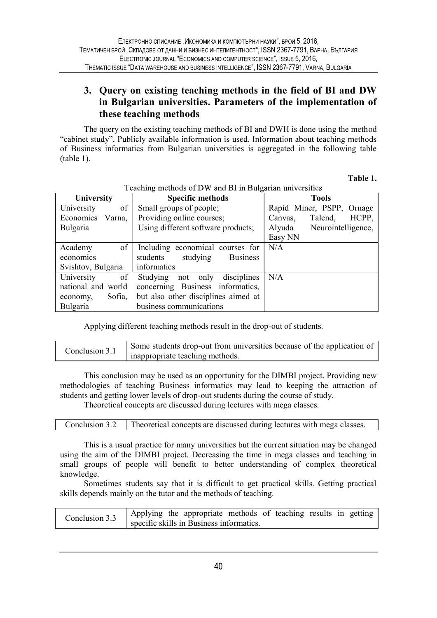# 3. Query on existing teaching methods in the field of BI and DW in Bulgarian universities. Parameters of the implementation of these teaching methods

The query on the existing teaching methods of BI and DWH is done using the method "cabinet study". Publicly available information is used. Information about teaching methods of Business informatics from Bulgarian universities is aggregated in the following table (table 1).

Table 1.

| University          | <b>Specific methods</b>                 | <b>Tools</b>                 |
|---------------------|-----------------------------------------|------------------------------|
| of<br>University    | Small groups of people;                 | Rapid Miner, PSPP, Ornage    |
| Economics<br>Varna, | Providing online courses;               | HCPP,<br>Talend,<br>Canvas,  |
| Bulgaria            | Using different software products;      | Neurointelligence,<br>Alyuda |
|                     |                                         | Easy NN                      |
| of<br>Academy       | Including economical courses for        | N/A                          |
| economics           | studying<br>students<br><b>Business</b> |                              |
| Svishtov, Bulgaria  | informatics                             |                              |
| of<br>University    | Studying<br>disciplines<br>only<br>not  | N/A                          |
| national and world  | concerning Business informatics,        |                              |
| Sofia,<br>economy,  | but also other disciplines aimed at     |                              |
| Bulgaria            | business communications                 |                              |

Teaching methods of DW and BI in Bulgarian universities

Applying different teaching methods result in the drop-out of students.

|--|--|

This conclusion may be used as an opportunity for the DIMBI project. Providing new methodologies of teaching Business informatics may lead to keeping the attraction of students and getting lower levels of drop-out students during the course of study.

Theoretical concepts are discussed during lectures with mega classes.

|  |  | Conclusion 3.2 Theoretical concepts are discussed during lectures with mega classes. |  |
|--|--|--------------------------------------------------------------------------------------|--|
|--|--|--------------------------------------------------------------------------------------|--|

This is a usual practice for many universities but the current situation may be changed using the aim of the DIMBI project. Decreasing the time in mega classes and teaching in small groups of people will benefit to better understanding of complex theoretical knowledge.

Sometimes students say that it is difficult to get practical skills. Getting practical skills depends mainly on the tutor and the methods of teaching.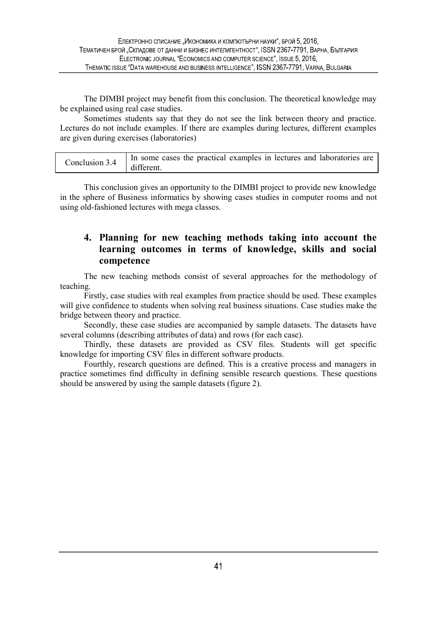The DIMBI project may benefit from this conclusion. The theoretical knowledge may be explained using real case studies.

Sometimes students say that they do not see the link between theory and practice. Lectures do not include examples. If there are examples during lectures, different examples are given during exercises (laboratories)

| Conclusion 3.4 | If In some cases the practical examples in lectures and laboratories are |  |
|----------------|--------------------------------------------------------------------------|--|
|                | different.                                                               |  |

This conclusion gives an opportunity to the DIMBI project to provide new knowledge in the sphere of Business informatics by showing cases studies in computer rooms and not using old-fashioned lectures with mega classes.

# 4. Planning for new teaching methods taking into account the learning outcomes in terms of knowledge, skills and social competence

The new teaching methods consist of several approaches for the methodology of teaching.

Firstly, case studies with real examples from practice should be used. These examples will give confidence to students when solving real business situations. Case studies make the bridge between theory and practice.

Secondly, these case studies are accompanied by sample datasets. The datasets have several columns (describing attributes of data) and rows (for each case).

Thirdly, these datasets are provided as CSV files. Students will get specific knowledge for importing CSV files in different software products.

Fourthly, research questions are defined. This is a creative process and managers in practice sometimes find difficulty in defining sensible research questions. These questions should be answered by using the sample datasets (figure 2).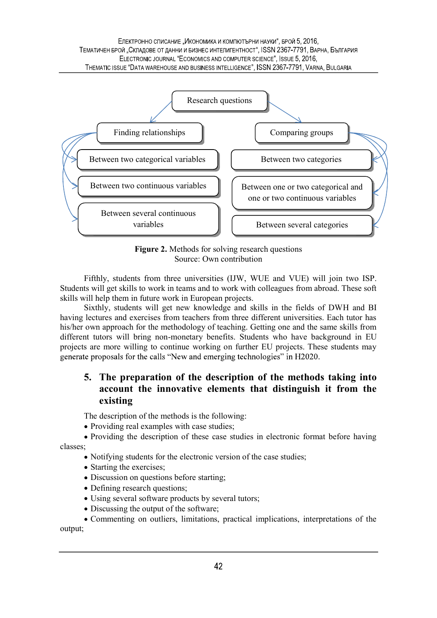#### ЕЛЕКТРОННО СПИСАНИЕ "ИКОНОМИКА И КОМПЮТЪРНИ НАУКИ", БРОЙ 5, 2016. ТЕМАТИЧЕН БРОЙ "СКЛАДОВЕ ОТ ДАННИ И БИЗНЕС ИНТЕЛИГЕНТНОСТ", ISSN 2367-7791, ВАРНА, БЪЛГАРИЯ ELECTRONIC JOURNAL "ECONOMICS AND COMPUTER SCIENCE", ISSUE 5, 2016, THEMATIC ISSUE "DATA WAREHOUSE AND BUSINESS INTELLIGENCE", ISSN 2367-7791, VARNA, BULGARIA



Figure 2. Methods for solving research questions Source: Own contribution

Fifthly, students from three universities (IJW, WUE and VUE) will join two ISP. Students will get skills to work in teams and to work with colleagues from abroad. These soft skills will help them in future work in European projects.

Sixthly, students will get new knowledge and skills in the fields of DWH and BI having lectures and exercises from teachers from three different universities. Each tutor has his/her own approach for the methodology of teaching. Getting one and the same skills from different tutors will bring non-monetary benefits. Students who have background in EU projects are more willing to continue working on further EU projects. These students may generate proposals for the calls "New and emerging technologies" in H2020.

# 5. The preparation of the description of the methods taking into account the innovative elements that distinguish it from the existing

The description of the methods is the following:

• Providing real examples with case studies;

Providing the description of these case studies in electronic format before having classes;

- Notifying students for the electronic version of the case studies;
- Starting the exercises;
- Discussion on questions before starting;
- Defining research questions;
- Using several software products by several tutors;
- Discussing the output of the software;

Commenting on outliers, limitations, practical implications, interpretations of the output;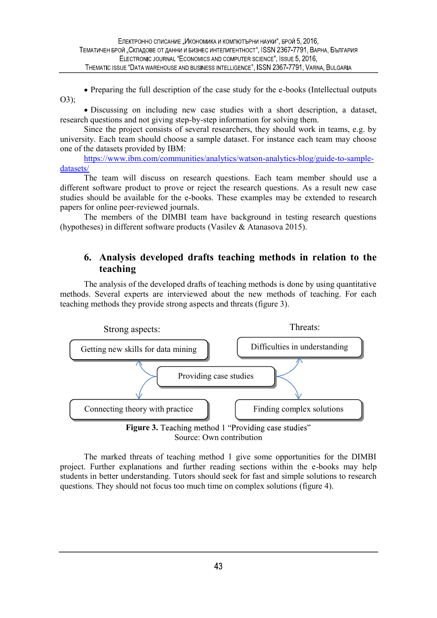• Preparing the full description of the case study for the e-books (Intellectual outputs O3);

Discussing on including new case studies with a short description, a dataset, research questions and not giving step-by-step information for solving them.

Since the project consists of several researchers, they should work in teams, e.g. by university. Each team should choose a sample dataset. For instance each team may choose one of the datasets provided by IBM:

https://www.ibm.com/communities/analytics/watson-analytics-blog/guide-to-sampledatasets/ The team will discuss on research questions. Each team member should use a

different software product to prove or reject the research questions. As a result new case studies should be available for the e-books. These examples may be extended to research papers for online peer-reviewed journals.

The members of the DIMBI team have background in testing research questions (hypotheses) in different software products (Vasilev & Atanasova 2015).

# 6. Analysis developed drafts teaching methods in relation to the teaching

The analysis of the developed drafts of teaching methods is done by using quantitative methods. Several experts are interviewed about the new methods of teaching. For each teaching methods they provide strong aspects and threats (figure 3).



Source: Own contribution

The marked threats of teaching method 1 give some opportunities for the DIMBI project. Further explanations and further reading sections within the e-books may help students in better understanding. Tutors should seek for fast and simple solutions to research questions. They should not focus too much time on complex solutions (figure 4).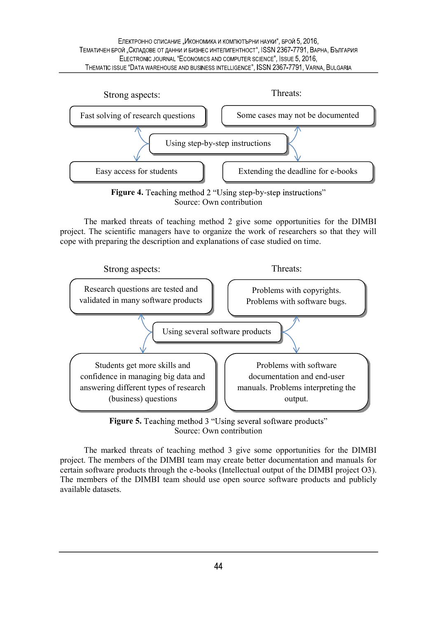ЕЛЕКТРОННО СПИСАНИЕ "ИКОНОМИКА И КОМПЮТЪРНИ НАУКИ", БРОЙ 5, 2016. ТЕМАТИЧЕН БРОЙ "СКЛАДОВЕ ОТ ДАННИ И БИЗНЕС ИНТЕЛИГЕНТНОСТ", ISSN 2367-7791, ВАРНА, БЪЛГАРИЯ ELECTRONIC JOURNAL "ECONOMICS AND COMPUTER SCIENCE", ISSUE 5, 2016, THEMATIC ISSUE "DATA WAREHOUSE AND BUSINESS INTELLIGENCE", ISSN 2367-7791, VARNA, BULGARIA



Source: Own contribution

The marked threats of teaching method 2 give some opportunities for the DIMBI project. The scientific managers have to organize the work of researchers so that they will cope with preparing the description and explanations of case studied on time.



**Figure 5.** Teaching method 3 "Using several software products" Source: Own contribution

The marked threats of teaching method 3 give some opportunities for the DIMBI project. The members of the DIMBI team may create better documentation and manuals for certain software products through the e-books (Intellectual output of the DIMBI project O3). The members of the DIMBI team should use open source software products and publicly available datasets.